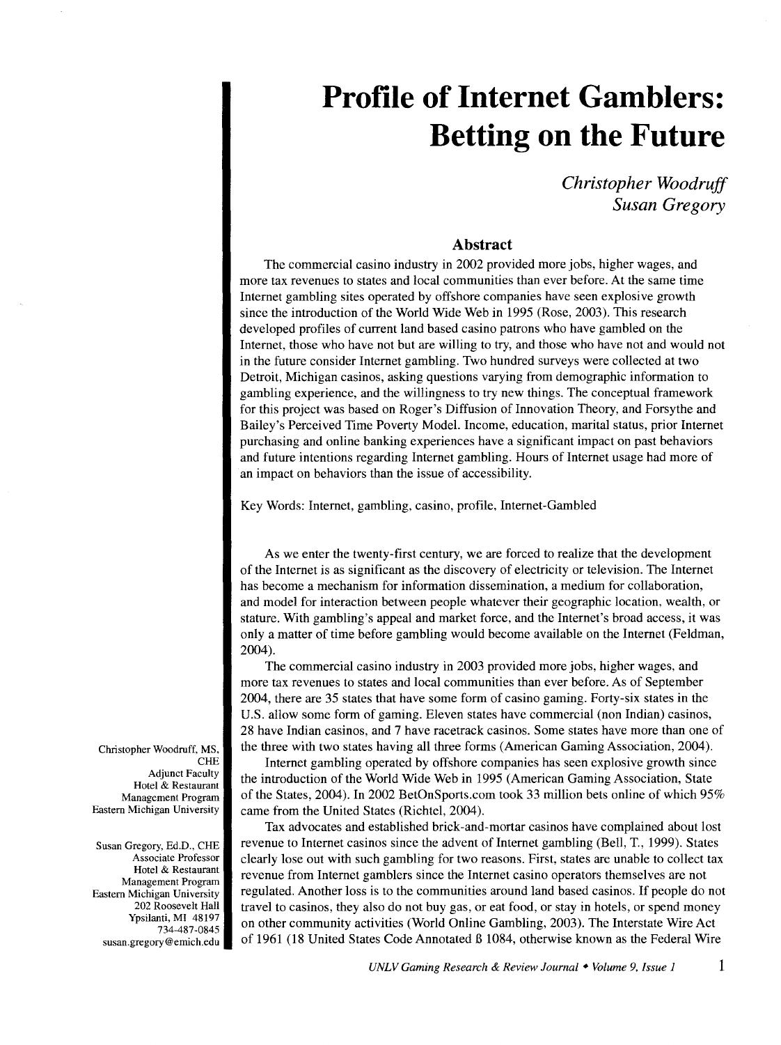*Christopher Woodruff Susan Gregory* 

# **Abstract**

The commercial casino industry in 2002 provided more jobs, higher wages, and more tax revenues to states and local communities than ever before. At the same time Internet gambling sites operated by offshore companies have seen explosive growth since the introduction of the World Wide Web in 1995 (Rose, 2003). This research developed profiles of current land based casino patrons who have gambled on the Internet, those who have not but are willing to try, and those who have not and would not in the future consider Internet gambling. Two hundred surveys were collected at two Detroit, Michigan casinos, asking questions varying from demographic information to gambling experience, and the willingness to try new things. The conceptual framework for this project was based on Roger's Diffusion of Innovation Theory, and Forsythe and Bailey's Perceived Time Poverty Model. Income, education, marital status, prior Internet purchasing and online banking experiences have a significant impact on past behaviors and future intentions regarding Internet gambling. Hours of Internet usage had more of an impact on behaviors than the issue of accessibility.

Key Words: Internet, gambling, casino, profile, Internet-Gambled

As we enter the twenty-first century, we are forced to realize that the development of the Internet is as significant as the discovery of electricity or television. The Internet has become a mechanism for information dissemination, a medium for collaboration, and model for interaction between people whatever their geographic location, wealth, or stature. With gambling's appeal and market force, and the Internet's broad access, it was only a matter of time before gambling would become available on the Internet (Feldman, 2004).

The commercial casino industry in 2003 provided more jobs, higher wages, and more tax revenues to states and local communities than ever before. As of September 2004, there are 35 states that have some form of casino gaming. Forty-six states in the U.S. allow some form of gaming. Eleven states have commercial (non Indian) casinos, 28 have Indian casinos, and 7 have racetrack casinos. Some states have more than one of the three with two states having all three forms (American Gaming Association, 2004).

Internet gambling operated by offshore companies has seen explosive growth since the introduction of the World Wide Web in 1995 (American Gaming Association, State of the States, 2004). In 2002 BetOnSports.com took 33 million bets online of which 95% came from the United States (Richtel, 2004).

Tax advocates and established brick-and-mortar casinos have complained about lost revenue to Internet casinos since the advent of Internet gambling (Bell, T., 1999). States clearly lose out with such gambling for two reasons. First, states are unable to collect tax revenue from Internet gamblers since the Internet casino operators themselves are not regulated. Another loss is to the communities around land based casinos. If people do not travel to casinos, they also do not buy gas, or eat food, or stay in hotels, or spend money on other community activities (World Online Gambling, 2003). The Interstate Wire Act of 1961 (18 United States Code Annotated *B* 1084, otherwise known as the Federal Wire

Christopher Woodruff, MS, **CHE** Adjunct Faculty Hotel & Restaurant Management Program Eastern Michigan University

Susan Gregory, Ed.D., CHE Associate Professor Hotel & Restaurant Management Program Eastern Michigan University 202 Roosevelt Hall Ypsilanti, MI 48197 734-487-0845 susan.gregory@emich.edu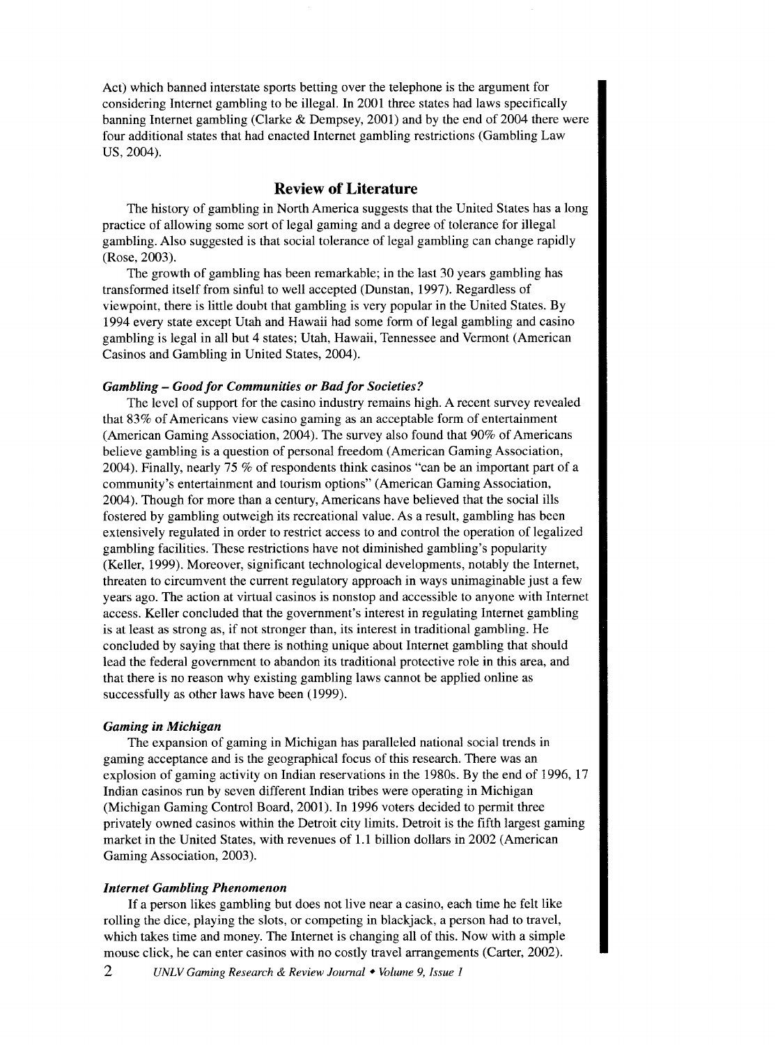Act) which banned interstate sports betting over the telephone is the argument for considering Internet gambling to be illegal. In 2001 three states had laws specifically banning Internet gambling (Clarke & Dempsey, 2001) and by the end of 2004 there were four additional states that had enacted Internet gambling restrictions (Gambling Law US, 2004).

# **Review of Literature**

The history of gambling in North America suggests that the United States has a long practice of allowing some sort of legal gaming and a degree of tolerance for illegal gambling. Also suggested is that social tolerance of legal gambling can change rapidly (Rose, 2003).

The growth of gambling has been remarkable; in the last 30 years gambling has transformed itself from sinful to well accepted (Dunstan, 1997). Regardless of viewpoint, there is little doubt that gambling is very popular in the United States. By 1994 every state except Utah and Hawaii had some form of legal gambling and casino gambling is legal in all but 4 states; Utah, Hawaii, Tennessee and Vermont (American Casinos and Gambling in United States, 2004).

#### *Gambling* - *Good for Communities or Bad for Societies?*

The level of support for the casino industry remains high. A recent survey revealed that 83% of Americans view casino gaming as an acceptable form of entertainment (American Gaming Association, 2004). The survey also found that 90% of Americans believe gambling is a question of personal freedom (American Gaming Association, 2004). Finally, nearly 75 % of respondents think casinos "can be an important part of a community's entertainment and tourism options" (American Gaming Association, 2004). Though for more than a century, Americans have believed that the social ills fostered by gambling outweigh its recreational value. As a result, gambling has been extensively regulated in order to restrict access to and control the operation of legalized gambling facilities. These restrictions have not diminished gambling's popularity (Keller, 1999). Moreover, significant technological developments, notably the Internet, threaten to circumvent the current regulatory approach in ways unimaginable just a few years ago. The action at virtual casinos is nonstop and accessible to anyone with Internet access. Keller concluded that the government's interest in regulating Internet gambling is at least as strong as, if not stronger than, its interest in traditional gambling. He concluded by saying that there is nothing unique about Internet gambling that should lead the federal government to abandon its traditional protective role in this area, and that there is no reason why existing gambling laws cannot be applied online as successfully as other laws have been (1999).

#### *Gaming in Michigan*

The expansion of gaming in Michigan has paralleled national social trends in gaming acceptance and is the geographical focus of this research. There was an explosion of gaming activity on Indian reservations in the 1980s. By the end of 1996, 17 Indian casinos run by seven different Indian tribes were operating in Michigan (Michigan Gaming Control Board, 2001). In 1996 voters decided to permit three privately owned casinos within the Detroit city limits. Detroit is the fifth largest gaming market in the United States, with revenues of 1.1 billion dollars in 2002 (American Gaming Association, 2003).

#### *Internet Gambling Phenomenon*

If a person likes gambling but does not live near a casino, each time he felt like rolling the dice, playing the slots, or competing in blackjack, a person had to travel, which takes time and money. The Internet is changing all of this. Now with a simple mouse click, he can enter casinos with no costly travel arrangements (Carter, 2002).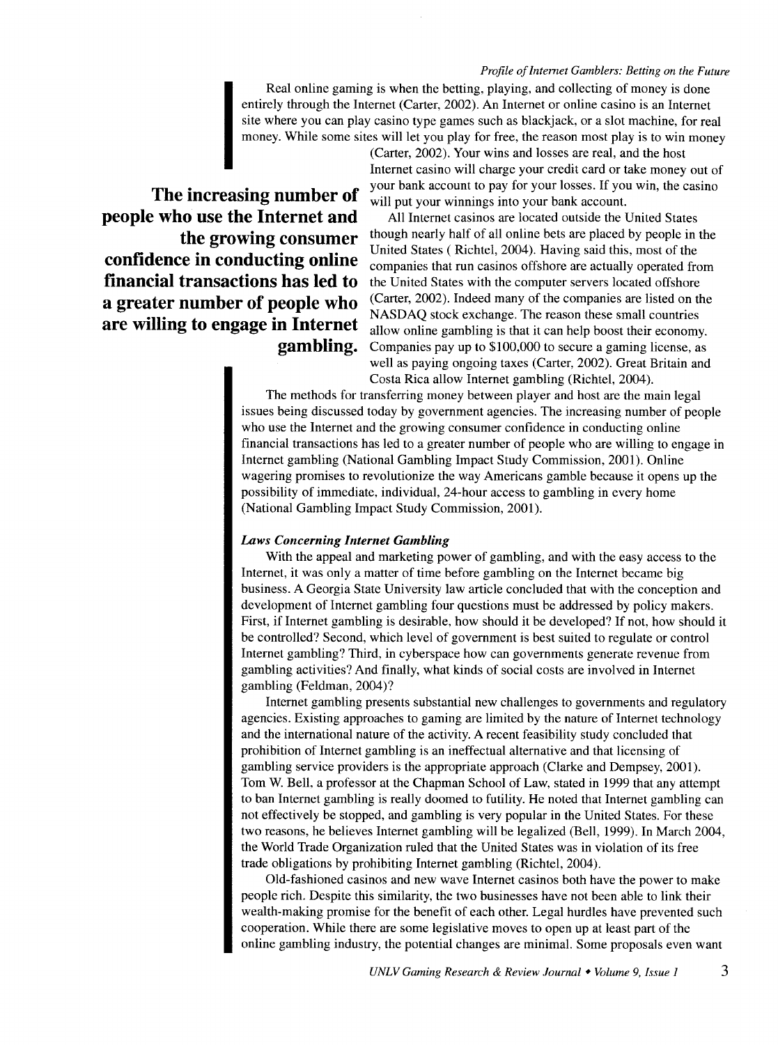Real online gaming is when the betting, playing, and collecting of money is done entirely through the Internet (Carter, 2002). An Internet or online casino is an Internet site where you can play casino type games such as blackjack, or a slot machine, for real money. While some sites will let you play for free, the reason most play is to win money

**The increasing number of people who use the Internet and the growing consumer confidence in conducting online financial transactions has led to a greater number of people who are willing to engage in Internet gambling.** 

(Carter, 2002). Your wins and losses are real, and the host Internet casino will charge your credit card or take money out of your bank account to pay for your losses. If you win, the casino will put your winnings into your bank account.

All Internet casinos are located outside the United States though nearly half of all online bets are placed by people in the United States ( Richtel, 2004). Having said this, most of the companies that run casinos offshore are actually operated from the United States with the computer servers located offshore (Carter, 2002). Indeed many of the companies are listed on the NASDAQ stock exchange. The reason these small countries allow online gambling is that it can help boost their economy. Companies pay up to \$100,000 to secure a gaming license, as well as paying ongoing taxes (Carter, 2002). Great Britain and Costa Rica allow Internet gambling (Richtel, 2004).

The methods for transferring money between player and host are the main legal issues being discussed today by government agencies. The increasing number of people who use the Internet and the growing consumer confidence in conducting online financial transactions has led to a greater number of people who are willing to engage in Internet gambling (National Gambling Impact Study Commission, 2001). Online wagering promises to revolutionize the way Americans gamble because it opens up the possibility of immediate, individual, 24-hour access to gambling in every home (National Gambling Impact Study Commission, 2001).

#### *Laws Concerning Internet Gambling*

With the appeal and marketing power of gambling, and with the easy access to the Internet, it was only a matter of time before gambling on the Internet became big business. A Georgia State University law article concluded that with the conception and development of Internet gambling four questions must be addressed by policy makers. First, if Internet gambling is desirable, how should it be developed? If not, how should it be controlled? Second, which level of government is best suited to regulate or control Internet gambling? Third, in cyberspace how can governments generate revenue from gambling activities? And finally, what kinds of social costs are involved in Internet gambling (Feldman, 2004)?

Internet gambling presents substantial new challenges to governments and regulatory agencies. Existing approaches to gaming are limited by the nature of Internet technology and the international nature of the activity. A recent feasibility study concluded that prohibition of Internet gambling is an ineffectual alternative and that licensing of gambling service providers is the appropriate approach (Clarke and Dempsey, 2001). Tom W. Bell, a professor at the Chapman School of Law, stated in 1999 that any attempt to ban Internet gambling is really doomed to futility. He noted that Internet gambling can not effectively be stopped, and gambling is very popular in the United States. For these two reasons, he believes Internet gambling will be legalized (Bell, 1999). In March 2004, the World Trade Organization ruled that the United States was in violation of its free trade obligations by prohibiting Internet gambling (Richtel, 2004).

Old-fashioned casinos and new wave Internet casinos both have the power to make people rich. Despite this similarity, the two businesses have not been able to link their wealth-making promise for the benefit of each other. Legal hurdles have prevented such cooperation. While there are some legislative moves to open up at least part of the online gambling industry, the potential changes are minimal. Some proposals even want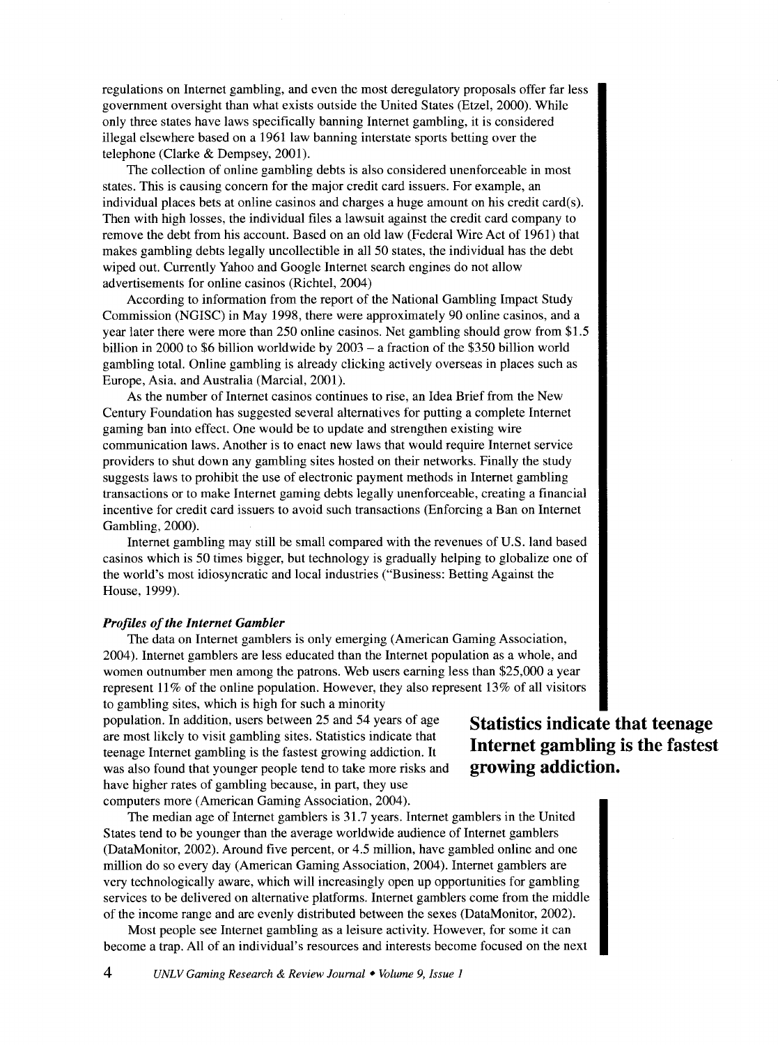regulations on Internet gambling, and even the most deregulatory proposals offer far less government oversight than what exists outside the United States (Etzel, 2000). While only three states have laws specifically banning Internet gambling, it is considered illegal elsewhere based on a 1961 law banning interstate sports betting over the telephone (Clarke & Dempsey, 2001).

The collection of online gambling debts is also considered unenforceable in most states. This is causing concern for the major credit card issuers. For example, an individual places bets at online casinos and charges a huge amount on his credit card(s). Then with high losses, the individual files a lawsuit against the credit card company to remove the debt from his account. Based on an old law (Federal Wire Act of 1961) that makes gambling debts legally uncollectible in all 50 states, the individual has the debt wiped out. Currently Yahoo and Google Internet search engines do not allow advertisements for online casinos (Richtel, 2004)

According to information from the report of the National Gambling Impact Study Commission (NGISC) in May 1998, there were approximately 90 online casinos, and a year later there were more than 250 online casinos. Net gambling should grow from \$1.5 billion in 2000 to \$6 billion worldwide by 2003 - a fraction of the \$350 billion world gambling total. Online gambling is already clicking actively overseas in places such as Europe, Asia. and Australia (Marcial, 2001).

As the number of Internet casinos continues to rise, an Idea Brief from the New Century Foundation has suggested several alternatives for putting a complete Internet gaming ban into effect. One would be to update and strengthen existing wire communication laws. Another is to enact new laws that would require Internet service providers to shut down any gambling sites hosted on their networks. Finally the study suggests laws to prohibit the use of electronic payment methods in Internet gambling transactions or to make Internet gaming debts legally unenforceable, creating a financial incentive for credit card issuers to avoid such transactions (Enforcing a Ban on Internet Gambling, 2000).

Internet gambling may still be small compared with the revenues of U.S. land based casinos which is 50 times bigger, but technology is gradually helping to globalize one of the world's most idiosyncratic and local industries ("Business: Betting Against the House, 1999).

#### *Profiles of the Internet Gambler*

The data on Internet gamblers is only emerging (American Gaming Association, 2004). Internet gamblers are less educated than the Internet population as a whole, and women outnumber men among the patrons. Web users earning less than \$25,000 a year represent 11% of the online population. However, they also represent 13% of all visitors to gambling sites, which is high for such a minority

population. In addition, users between 25 and 54 years of age are most likely to visit gambling sites. Statistics indicate that teenage Internet gambling is the fastest growing addiction. It was also found that younger people tend to take more risks and have higher rates of gambling because, in part, they use computers more (American Gaming Association, 2004).

The median age of Internet gamblers is 31.7 years. Internet gamblers in the United States tend to be younger than the average worldwide audience of Internet gamblers (DataMonitor, 2002). Around five percent, or 4.5 million, have gambled online and one million do so every day (American Gaming Association, 2004). Internet gamblers are very technologically aware, which will increasingly open up opportunities for gambling services to be delivered on alternative platforms. Internet gamblers come from the middle of the income range and are evenly distributed between the sexes (DataMonitor, 2002).

Most people see Internet gambling as a leisure activity. However, for some it can become a trap. All of an individual's resources and interests become focused on the next

# **Statistics indicate that teenage Internet gambling is the fastest growing addiction.**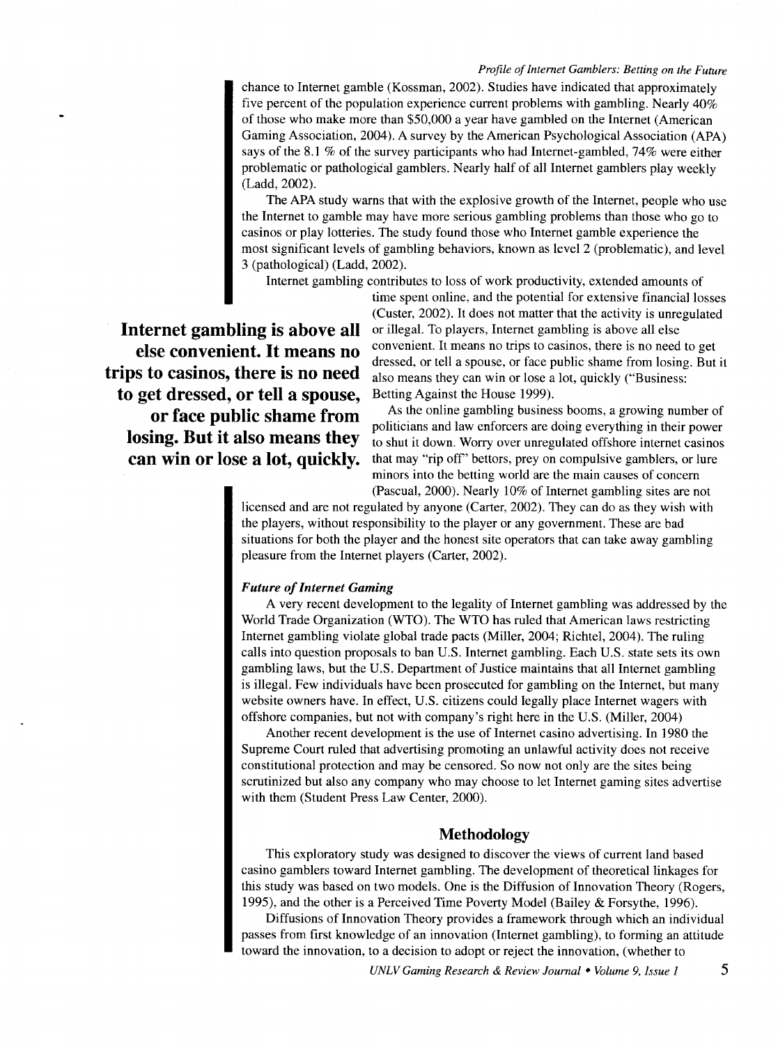chance to Internet gamble (Kossman, 2002). Studies have indicated that approximately five percent of the population experience current problems with gambling. Nearly 40% of those who make more than \$50,000 a year have gambled on the Internet (American Gaming Association, 2004). A survey by the American Psychological Association (APA) says of the 8.1 % of the survey participants who had Internet-gambled, 74% were either problematic or pathological gamblers. Nearly half of all Internet gamblers play weekly (Ladd, 2002).

The APA study warns that with the explosive growth of the Internet, people who use the Internet to gamble may have more serious gambling problems than those who go to casinos or play lotteries. The study found those who Internet gamble experience the most significant levels of gambling behaviors, known as level 2 (problematic), and level 3 (pathological) (Ladd, 2002).

Internet gambling contributes to loss of work productivity, extended amounts of

**Internet gambling is above all else convenient. It means no trips to casinos, there is no need to get dressed, or tell a spouse, or face public shame from losing. But it also means they can win or lose a lot, quickly.** 

time spent online, and the potential for extensive financial losses (Custer, 2002). It does not matter that the activity is unregulated or illegal. To players, Internet gambling is above all else convenient. It means no trips to casinos, there is no need to get dressed, or tell a spouse, or face public shame from losing. But it also means they can win or lose a lot, quickly ("Business: Betting Against the House 1999).

As the online gambling business booms, a growing number of politicians and law enforcers are doing everything in their power to shut it down. Worry over unregulated offshore internet casinos that may "rip off' bettors, prey on compulsive gamblers, or lure minors into the betting world are the main causes of concern (Pascual, 2000). Nearly 10% of Internet gambling sites are not

licensed and are not regulated by anyone (Carter, 2002). They can do as they wish with the players, without responsibility to the player or any government. These are bad situations for both the player and the honest site operators that can take away gambling pleasure from the Internet players (Carter, 2002).

#### *Future of Internet Gaming*

A very recent development to the legality of Internet gambling was addressed by the World Trade Organization (WTO). The WTO has ruled that American laws restricting Internet gambling violate global trade pacts (Miller, 2004; Richtel, 2004). The ruling calls into question proposals to ban U.S. Internet gambling. Each U.S. state sets its own gambling laws, but the U.S. Department of Justice maintains that all Internet gambling is illegal. Few individuals have been prosecuted for gambling on the Internet, but many website owners have. In effect, U.S. citizens could legally place Internet wagers with offshore companies, but not with company's right here in the U.S. (Miller, 2004)

Another recent development is the use of Internet casino advertising. In 1980 the Supreme Court ruled that advertising promoting an unlawful activity does not receive constitutional protection and may be censored. So now not only are the sites being scrutinized but also any company who may choose to let Internet gaming sites advertise with them (Student Press Law Center, 2000).

# **Methodology**

This exploratory study was designed to discover the views of current land based casino gamblers toward Internet gambling. The development of theoretical linkages for this study was based on two models. One is the Diffusion of Innovation Theory (Rogers, 1995), and the other is a Perceived Time Poverty Model (Bailey & Forsythe, 1996).

Diffusions of Innovation Theory provides a framework through which an individual passes from first knowledge of an innovation (Internet gambling), to forming an attitude toward the innovation, to a decision to adopt or reject the innovation, (whether to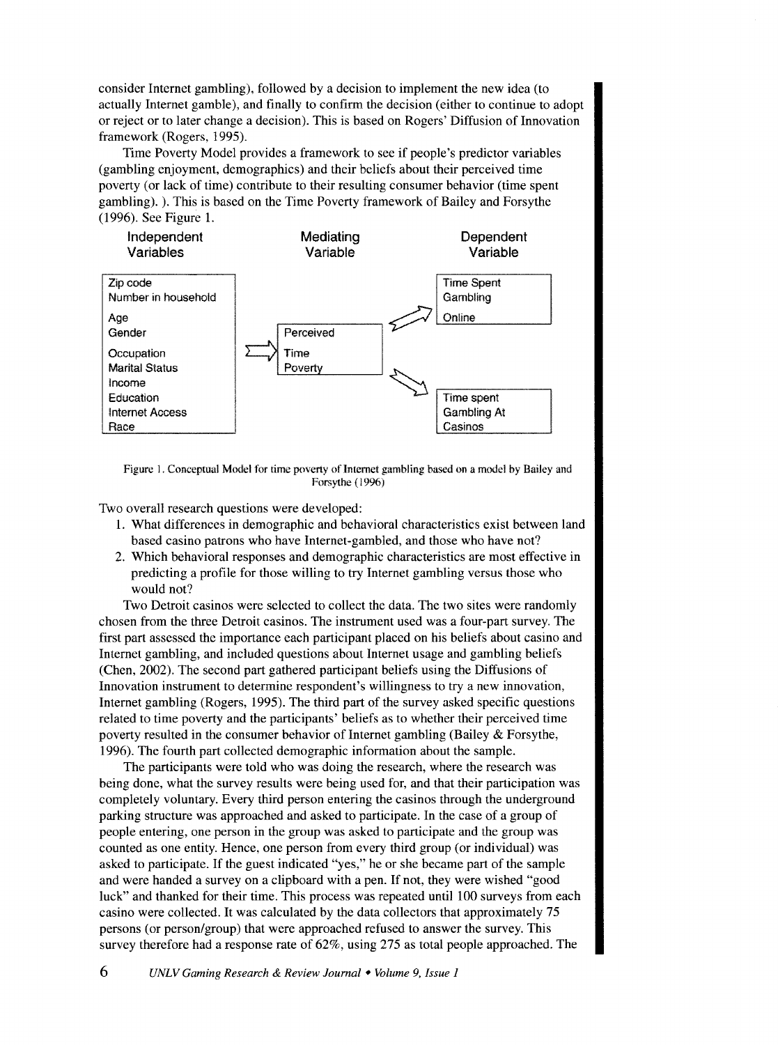consider Internet gambling), followed by a decision to implement the new idea (to actually Internet gamble), and finally to confirm the decision (either to continue to adopt or reject or to later change a decision). This is based on Rogers' Diffusion of Innovation framework (Rogers, 1995).

Time Poverty Model provides a framework to see if people's predictor variables (gambling enjoyment, demographics) and their beliefs about their perceived time poverty (or lack of time) contribute to their resulting consumer behavior (time spent gambling). ). This is based on the Time Poverty framework of Bailey and Forsythe (1996). See Figure 1.



Figure I. Conceptual Model for time poverty of Internet gambling based on a model by Bailey and Forsythe (1996)

Two overall research questions were developed:

- 1. What differences in demographic and behavioral characteristics exist between land based casino patrons who have Internet-gambled, and those who have not?
- 2. Which behavioral responses and demographic characteristics are most effective in predicting a profile for those willing to try Internet gambling versus those who would not?

Two Detroit casinos were selected to collect the data. The two sites were randomly chosen from the three Detroit casinos. The instrument used was a four-part survey. The first part assessed the importance each participant placed on his beliefs about casino and Internet gambling, and included questions about Internet usage and gambling beliefs (Chen, 2002). The second part gathered participant beliefs using the Diffusions of Innovation instrument to determine respondent's willingness to try a new innovation, Internet gambling (Rogers, 1995). The third part of the survey asked specific questions related to time poverty and the participants' beliefs as to whether their perceived time poverty resulted in the consumer behavior of Internet gambling (Bailey & Forsythe, 1996). The fourth part collected demographic information about the sample.

The participants were told who was doing the research, where the research was being done, what the survey results were being used for, and that their participation was completely voluntary. Every third person entering the casinos through the underground parking structure was approached and asked to participate. In the case of a group of people entering, one person in the group was asked to participate and the group was counted as one entity. Hence, one person from every third group (or individual) was asked to participate. If the guest indicated "yes," he or she became part of the sample and were handed a survey on a clipboard with a pen. If not, they were wished "good luck" and thanked for their time. This process was repeated until 100 surveys from each casino were collected. It was calculated by the data collectors that approximately 75 persons (or person/group) that were approached refused to answer the survey. This survey therefore had a response rate of 62%, using 275 as total people approached. The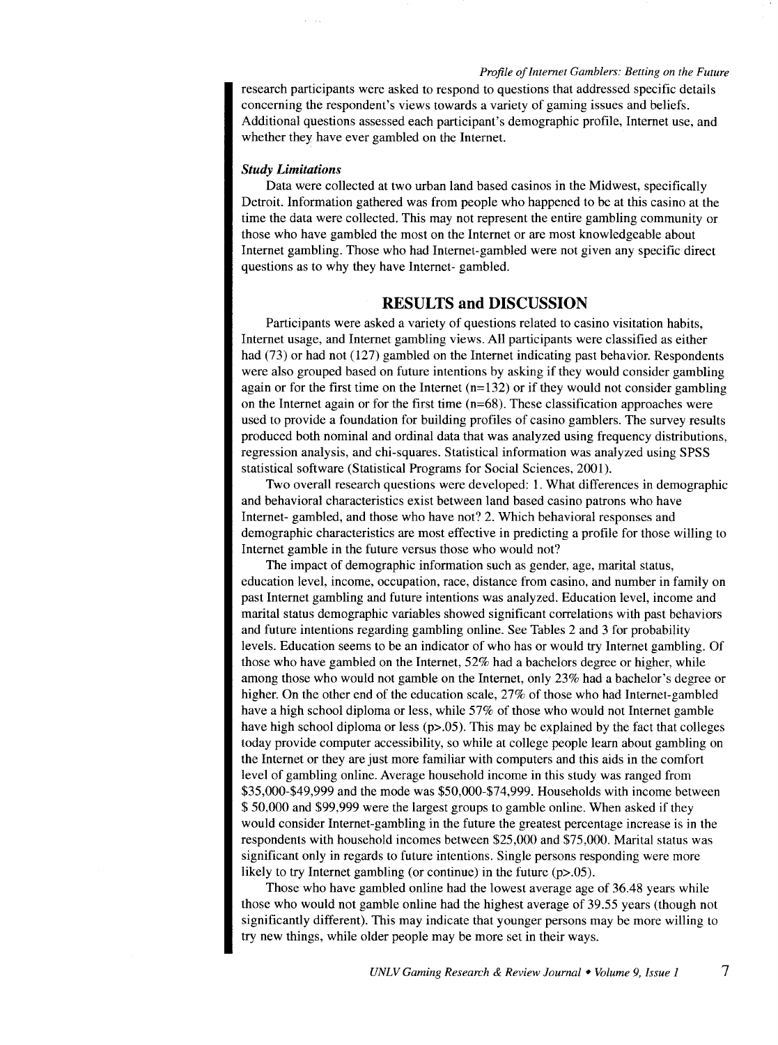research participants were asked to respond to questions that addressed specific details concerning the respondent's views towards a variety of gaming issues and beliefs. Additional questions assessed each participant's demographic profile, Internet use, and whether they have ever gambled on the Internet.

#### *Study Limitations*

Data were collected at two urban land based casinos in the Midwest, specifically Detroit. Information gathered was from people who happened to be at this casino at the time the data were collected. This may not represent the entire gambling community or those who have gambled the most on the Internet or are most knowledgeable about Internet gambling. Those who had Internet-gambled were not given any specific direct questions as to why they have Internet- gambled.

# **RESULTS and DISCUSSION**

Participants were asked a variety of questions related to casino visitation habits, Internet usage, and Internet gambling views. All participants were classified as either had (73) or had not (127) gambled on the Internet indicating past behavior. Respondents were also grouped based on future intentions by asking if they would consider gambling again or for the first time on the Internet  $(n=132)$  or if they would not consider gambling on the Internet again or for the first time  $(n=68)$ . These classification approaches were used to provide a foundation for building profiles of casino gamblers. The survey results produced both nominal and ordinal data that was analyzed using frequency distributions, regression analysis, and chi-squares. Statistical information was analyzed using SPSS statistical software (Statistical Programs for Social Sciences, 2001).

Two overall research questions were developed: 1. What differences in demographic and behavioral characteristics exist between land based casino patrons who have Internet- gambled, and those who have not? 2. Which behavioral responses and demographic characteristics are most effective in predicting a profile for those willing to Internet gamble in the future versus those who would not?

The impact of demographic information such as gender, age, marital status, education level, income, occupation, race, distance from casino, and number in family on past Internet gambling and future intentions was analyzed. Education level, income and marital status demographic variables showed significant correlations with past behaviors and future intentions regarding gambling online. See Tables 2 and 3 for probability levels. Education seems to be an indicator of who has or would try Internet gambling. Of those who have gambled on the Internet, 52% had a bachelors degree or higher, while among those who would not gamble on the Internet, only 23% had a bachelor's degree or higher. On the other end of the education scale, 27% of those who had Internet-gambled have a high school diploma or less, while 57% of those who would not Internet gamble have high school diploma or less  $(p>0.05)$ . This may be explained by the fact that colleges today provide computer accessibility, so while at college people learn about gambling on the Internet or they are just more familiar with computers and this aids in the comfort level of gambling online. Average household income in this study was ranged from \$35,000-\$49,999 and the mode was \$50,000-\$74,999. Households with income between \$ 50,000 and \$99,999 were the largest groups to gamble online. When asked if they would consider Internet-gambling in the future the greatest percentage increase is in the respondents with household incomes between \$25,000 and \$75,000. Marital status was significant only in regards to future intentions. Single persons responding were more likely to try Internet gambling (or continue) in the future (p>.05).

Those who have gambled online had the lowest average age of 36.48 years while those who would not gamble online had the highest average of 39.55 years (though not significantly different). This may indicate that younger persons may be more willing to try new things, while older people may be more set in their ways.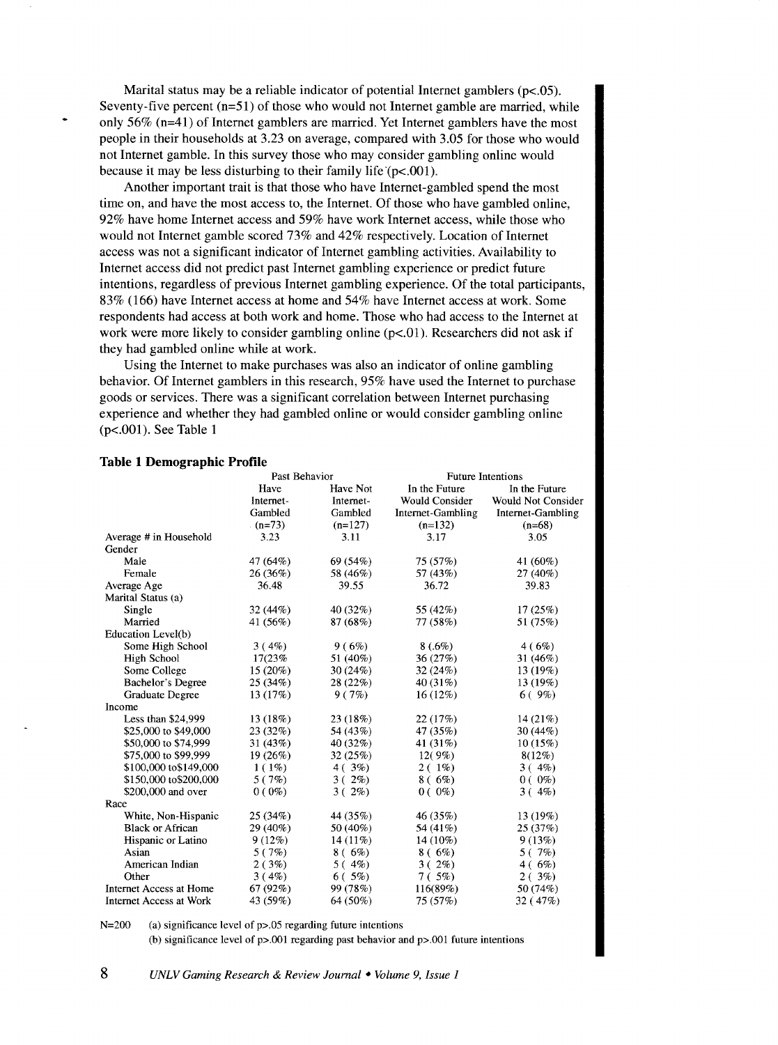Marital status may be a reliable indicator of potential Internet gamblers (p<.05). Seventy-five percent  $(n=51)$  of those who would not Internet gamble are married, while only 56% (n=41) of Internet gamblers are married. Yet Internet gamblers have the most people in their households at 3.23 on average, compared with 3.05 for those who would not Internet gamble. In this survey those who may consider gambling online would because it may be less disturbing to their family life  $(p<.001)$ .

Another important trait is that those who have Internet-gambled spend the most time on, and have the most access to, the Internet. Of those who have gambled online, 92% have home Internet access and 59% have work Internet access, while those who would not Internet gamble scored 73% and 42% respectively. Location of Internet access was not a significant indicator of Internet gambling activities. Availability to Internet access did not predict past Internet gambling experience or predict future intentions, regardless of previous Internet gambling experience. Of the total participants, 83% (166) have Internet access at home and 54% have Internet access at work. Some respondents had access at both work and home. Those who had access to the Internet at work were more likely to consider gambling online  $(p<0.01)$ . Researchers did not ask if they had gambled online while at work.

Using the Internet to make purchases was also an indicator of online gambling behavior. Of Internet gamblers in this research, 95% have used the Internet to purchase goods or services. There was a significant correlation between Internet purchasing experience and whether they had gambled online or would consider gambling online (p<.OOl). See Table 1

|                                | Past Behavior |            | <b>Future Intentions</b> |                           |  |
|--------------------------------|---------------|------------|--------------------------|---------------------------|--|
|                                | Have          | Have Not   | In the Future            | In the Future             |  |
|                                | Internet-     | Internet-  | <b>Would Consider</b>    | <b>Would Not Consider</b> |  |
|                                | Gambled       | Gambled    | Internet-Gambling        | Internet-Gambling         |  |
|                                | $(n=73)$      | $(n=127)$  | $(n=132)$                | $(n=68)$                  |  |
| Average # in Household         | 3.23          | 3.11       | 3.17                     | 3.05                      |  |
| Gender                         |               |            |                          |                           |  |
| Male                           | 47 (64%)      | 69 (54%)   | 75(57%)                  | 41 (60%)                  |  |
| Female                         | 26 (36%)      | 58 (46%)   | 57 (43%)                 | 27 (40%)                  |  |
| Average Age                    | 36.48         | 39.55      | 36.72                    | 39.83                     |  |
| Marital Status (a)             |               |            |                          |                           |  |
| Single                         | 32 (44%)      | 40 (32%)   | 55 (42%)                 | 17(25%)                   |  |
| Married                        | 41 (56%)      | 87 (68%)   | 77 (58%)                 | 51 (75%)                  |  |
| Education Level(b)             |               |            |                          |                           |  |
| Some High School               | 3(4%)         | 9(6%)      | 8(.6%)                   | 4(6%)                     |  |
| <b>High School</b>             | 17(23%        | 51 (40%)   | 36(27%)                  | 31 $(46%)$                |  |
| Some College                   | 15(20%)       | 30(24%)    | 32(24%)                  | 13 (19%)                  |  |
| Bachelor's Degree              | 25 (34%)      | 28(22%)    | 40(31%)                  | 13 (19%)                  |  |
| Graduate Degree                | 13 (17%)      | 9(7%)      | 16(12%)                  | 6(9%)                     |  |
| Income                         |               |            |                          |                           |  |
| Less than \$24,999             | 13 (18%)      | 23 (18%)   | 22(17%)                  | 14(21%)                   |  |
| \$25,000 to \$49,000           | 23(32%)       | 54 (43%)   | 47 (35%)                 | 30(44%)                   |  |
| \$50,000 to \$74,999           | 31(43%)       | 40 $(32%)$ | 41 (31%)                 | 10(15%)                   |  |
| \$75,000 to \$99,999           | 19 (26%)      | 32(25%)    | 12(9%)                   | 8(12%)                    |  |
| \$100,000 to \$149,000         | $1(1\%)$      | 4(3%)      | $2(1\%)$                 | $3(4\%)$                  |  |
| \$150,000 to\$200,000          | 5(7%)         | $3(2\%)$   | $8(6\%)$                 | $0(0\%)$                  |  |
| \$200,000 and over             | $0(0\%)$      | $3(2\%)$   | $0(0\%)$                 | 3(4%)                     |  |
| Race                           |               |            |                          |                           |  |
| White, Non-Hispanic            | 25(34%)       | 44 (35%)   | 46 (35%)                 | 13(19%)                   |  |
| <b>Black or African</b>        | 29 (40%)      | 50 (40%)   | 54 (41%)                 | 25(37%)                   |  |
| Hispanic or Latino             | 9(12%)        | $14(11\%)$ | 14 (10%)                 | 9(13%)                    |  |
| Asian                          | 5(7%)         | $8(6\%)$   | 8(6%)                    | 5(7%)                     |  |
| American Indian                | 2(3%)         | 5(4%)      | $3(2\%)$                 | $4(6\%)$                  |  |
| Other                          | 3(4%)         | 6(5%)      | 7(.5%)                   | 2(3%)                     |  |
| <b>Internet Access at Home</b> | 67(92%)       | 99 (78%)   | 116(89%)                 | 50 (74%)                  |  |
| Internet Access at Work        | 43 (59%)      | 64 (50%)   | 75 (57%)                 | 32 (47%)                  |  |

#### **Table 1 Demographic Profile**

N=200 (a) significance level of p>.05 regarding future intentions

(b) significance level of p>.001 regarding past behavior and p>.001 future intentions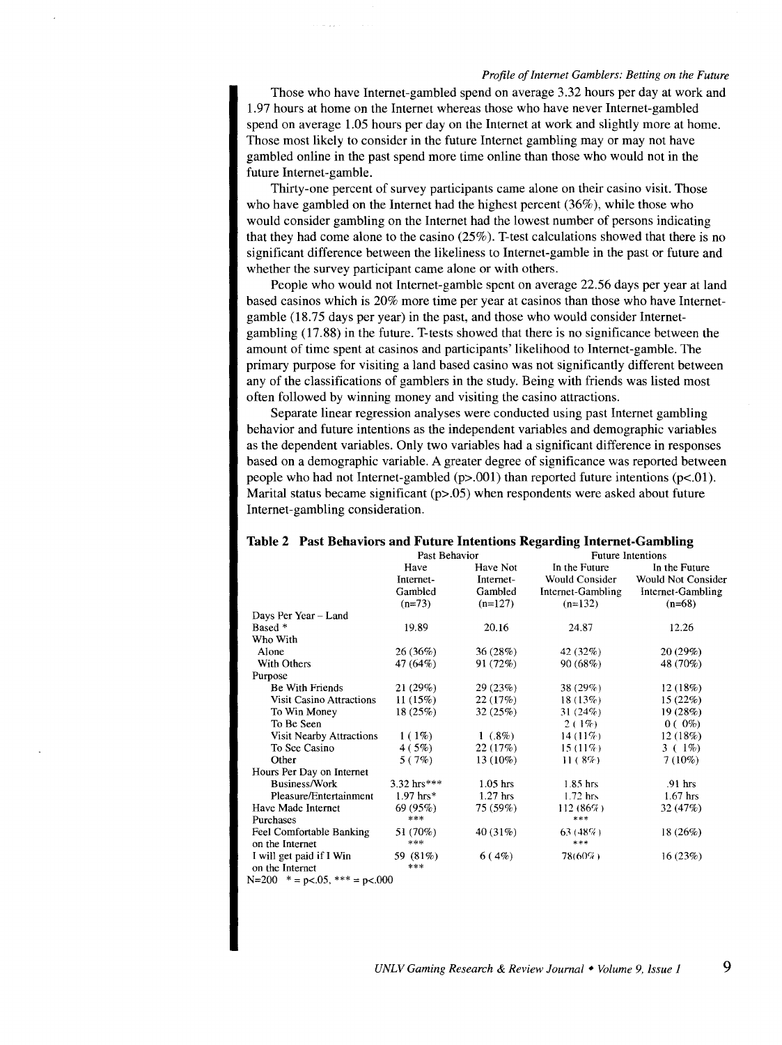Those who have Internet-gambled spend on average 3.32 hours per day at work and 1.97 hours at home on the Internet whereas those who have never Internet-gambled spend on average 1.05 hours per day on the Internet at work and slightly more at home. Those most likely to consider in the future Internet gambling may or may not have gambled online in the past spend more time online than those who would not in the future Internet-gamble.

Thirty-one percent of survey participants came alone on their casino visit. Those who have gambled on the Internet had the highest percent (36% ), while those who would consider gambling on the Internet had the lowest number of persons indicating that they had come alone to the casino (25% ). T-test calculations showed that there is no significant difference between the likeliness to Internet-gamble in the past or future and whether the survey participant came alone or with others.

People who would not Internet-gamble spent on average 22.56 days per year at land based casinos which is 20% more time per year at casinos than those who have Internetgamble (18.75 days per year) in the past, and those who would consider Internetgambling (17.88) in the future. T-tests showed that there is no significance between the amount of time spent at casinos and participants' likelihood to Internet-gamble. The primary purpose for visiting a land based casino was not significantly different between any of the classifications of gamblers in the study. Being with friends was listed most often followed by winning money and visiting the casino attractions.

Separate linear regression analyses were conducted using past Internet gambling behavior and future intentions as the independent variables and demographic variables as the dependent variables. Only two variables had a significant difference in responses based on a demographic variable. A greater degree of significance was reported between people who had not Internet-gambled  $(p>0.01)$  than reported future intentions  $(p<0.01)$ . Marital status became significant  $(p>0.05)$  when respondents were asked about future Internet-gambling consideration.

|                                 | Past Behavior |            | <b>Future Intentions</b> |                    |  |
|---------------------------------|---------------|------------|--------------------------|--------------------|--|
|                                 | Have          | Have Not   | In the Future            | In the Future      |  |
|                                 | Internet-     | Internet-  | Would Consider           | Would Not Consider |  |
|                                 | Gambled       | Gambled    | Internet-Gambling        | Internet-Gambling  |  |
|                                 | $(n=73)$      | $(n=127)$  | $(n=132)$                | $(n=68)$           |  |
| Days Per Year - Land            |               |            |                          |                    |  |
| Based *                         | 19.89         | 20.16      | 24.87                    | 12.26              |  |
| Who With                        |               |            |                          |                    |  |
| Alone                           | 26(36%)       | 36(28%)    | 42 $(32%)$               | 20(29%)            |  |
| With Others                     | 47 (64%)      | 91 (72%)   | 90(68%)                  | 48 (70%)           |  |
| Purpose                         |               |            |                          |                    |  |
| Be With Friends                 | 21(29%)       | 29(23%)    | 38 $(29%)$               | 12(18%)            |  |
| <b>Visit Casino Attractions</b> | 11(15%)       | 22(17%)    | 18(13%)                  | 15(22%)            |  |
| To Win Money                    | 18(25%)       | 32(25%)    | 31(24%)                  | 19(28%)            |  |
| To Be Seen                      |               |            | $2(1\%)$                 | $0(0\%)$           |  |
| Visit Nearby Attractions        | $1(1\%)$      | $1(0.8\%)$ | 14 $(11\%)$              | 12(18%)            |  |
| To See Casino                   | 4(5%)         | 22(17%)    | $15(11\%)$               | $3(1\%)$           |  |
| Other                           | 5(7%)         | $13(10\%)$ | 11(8%)                   | $7(10\%)$          |  |
| Hours Per Day on Internet       |               |            |                          |                    |  |
| <b>Business/Work</b>            | $3.32$ hrs*** | $1.05$ hrs | $1.85$ hrs               | $.91$ hrs          |  |
| Pleasure/Entertainment          | $1.97$ hrs*   | $1.27$ hrs | $1.72$ hrs               | $1.67$ hrs         |  |
| Have Made Internet              | 69(95%)       | 75 (59%)   | 112(86%)                 | 32(47%)            |  |
| Purchases                       | ***           |            | $***$                    |                    |  |
| Feel Comfortable Banking        | 51 (70%)      | 40 (31%)   | $63(48\%)$               | 18(26%)            |  |
| on the Internet                 | ***           |            | $***$                    |                    |  |
| I will get paid if I Win        | 59 (81%)      | 6(4%)      | 78(60%)                  | 16(23%)            |  |
| on the Internet                 | ***           |            |                          |                    |  |
| $N=200$ * = p<.05, *** = p<.000 |               |            |                          |                    |  |

#### **Table 2 Past Behaviors and Future Intentions Regarding Internet-Gambling**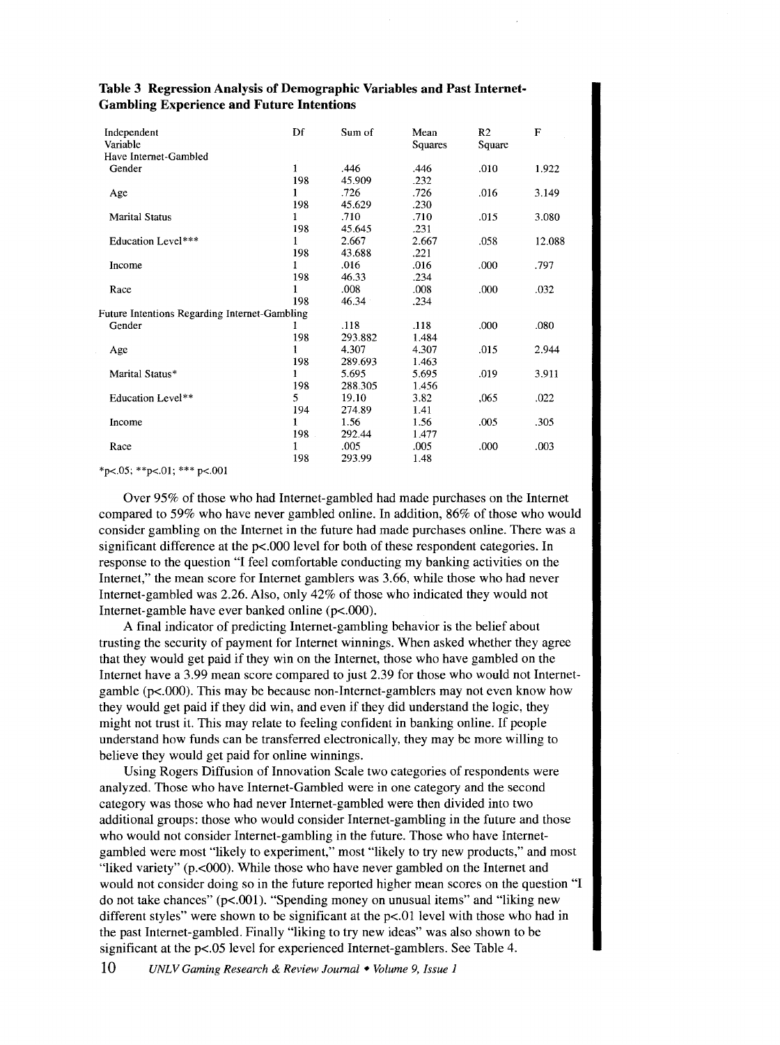| Independent<br>Variable                              | Df  | Sum of  | Mean<br>Squares | R <sub>2</sub><br>Square | F      |
|------------------------------------------------------|-----|---------|-----------------|--------------------------|--------|
| Have Internet-Gambled                                |     |         |                 |                          |        |
| Gender                                               | 1   | .446    | .446            | .010                     | 1.922  |
|                                                      | 198 | 45.909  | .232            |                          |        |
| Age                                                  | 1   | .726    | .726            | .016                     | 3.149  |
|                                                      | 198 | 45.629  | .230            |                          |        |
| <b>Marital Status</b>                                | 1   | .710    | .710            | .015                     | 3.080  |
|                                                      | 198 | 45.645  | .231            |                          |        |
| Education Level***                                   | Ŧ   | 2.667   | 2.667           | .058                     | 12.088 |
|                                                      | 198 | 43.688  | .221            |                          |        |
| Income                                               | 1   | .016    | .016            | .000                     | .797   |
|                                                      | 198 | 46.33   | .234            |                          |        |
| Race                                                 | 1   | .008    | .008            | .000                     | .032   |
|                                                      | 198 | 46.34   | .234            |                          |        |
| <b>Future Intentions Regarding Internet-Gambling</b> |     |         |                 |                          |        |
| Gender                                               |     | .118    | .118            | .000                     | .080   |
|                                                      | 198 | 293.882 | 1.484           |                          |        |
| Age                                                  | 1   | 4.307   | 4.307           | .015                     | 2.944  |
|                                                      | 198 | 289.693 | 1.463           |                          |        |
| Marital Status*                                      | 1   | 5.695   | 5.695           | .019                     | 3.911  |
|                                                      | 198 | 288.305 | 1.456           |                          |        |
| Education Level**                                    | 5   | 19.10   | 3.82            | ,065                     | .022   |
|                                                      | 194 | 274.89  | 1.41            |                          |        |
| Income                                               | 1   | 1.56    | 1.56            | .005                     | .305   |
|                                                      | 198 | 292.44  | 1.477           |                          |        |
| Race                                                 | 1   | .005    | .005            | .000                     | .003   |
|                                                      | 198 | 293.99  | 1.48            |                          |        |

### **Table 3 Regression Analysis of Demographic Variables and Past Internet-Gambling Experience and Future Intentions**

 $*p<.05$ ;  $*p<.01$ ;  $*** p<.001$ 

Over 95% of those who had Internet-gambled had made purchases on the Internet compared to 59% who have never gambled online. In addition, 86% of those who would consider gambling on the Internet in the future had made purchases online. There was a significant difference at the p<.000 level for both of these respondent categories. In response to the question "I feel comfortable conducting my banking activities on the Internet," the mean score for Internet gamblers was 3.66, while those who had never Internet-gambled was 2.26. Also, only 42% of those who indicated they would not Internet-gamble have ever banked online (p<.OOO).

A final indicator of predicting Internet-gambling behavior is the belief about trusting the security of payment for Internet winnings. When asked whether they agree that they would get paid if they win on the Internet, those who have gambled on the Internet have a 3.99 mean score compared to just 2.39 for those who would not Internetgamble (p<.OOO). This may be because non-Internet-gamblers may not even know how they would get paid if they did win, and even if they did understand the logic, they might not trust it. This may relate to feeling confident in banking online. If people understand how funds can be transferred electronically, they may be more willing to believe they would get paid for online winnings.

Using Rogers Diffusion of Innovation Scale two categories of respondents were analyzed. Those who have Internet-Gambled were in one category and the second category was those who had never Internet-gambled were then divided into two additional groups: those who would consider Internet-gambling in the future and those who would not consider Internet-gambling in the future. Those who have Internetgambled were most "likely to experiment," most "likely to try new products," and most "liked variety" (p.<000). While those who have never gambled on the Internet and would not consider doing so in the future reported higher mean scores on the question "I do not take chances" (p<.001). "Spending money on unusual items" and "liking new different styles" were shown to be significant at the  $p<01$  level with those who had in the past Internet-gambled. Finally "liking to try new ideas" was also shown to be significant at the p<.05 level for experienced Internet-gamblers. See Table 4.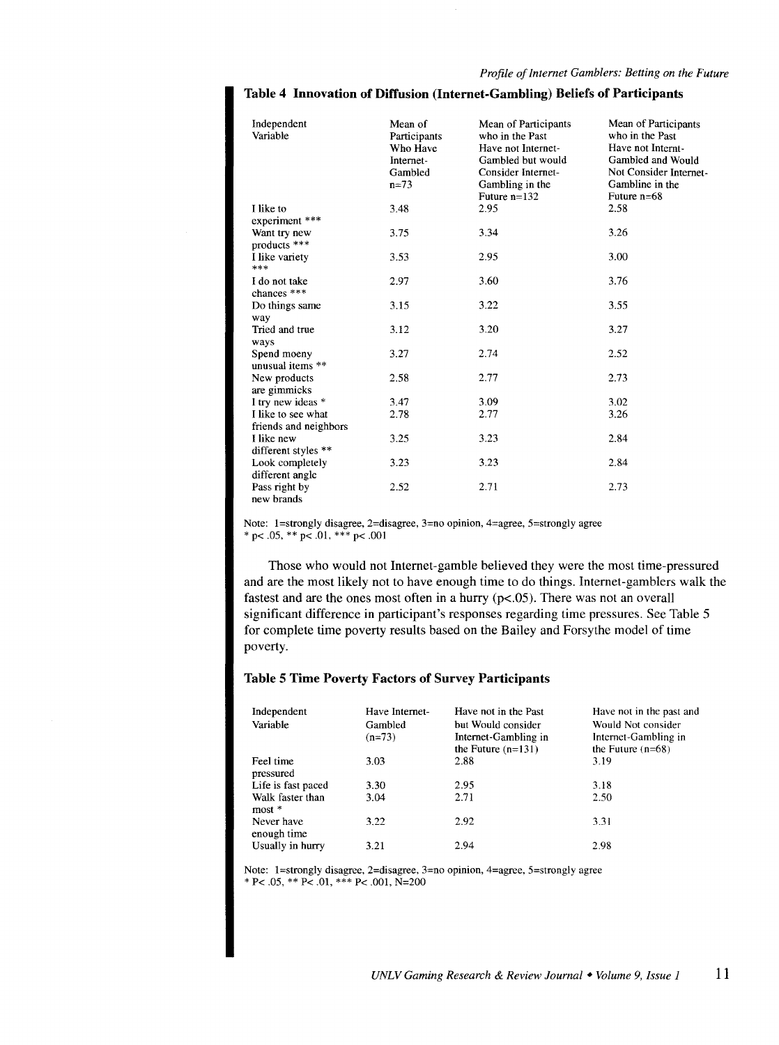| Independent<br>Variable                     | Mean of<br>Participants<br>Who Have<br>Internet-<br>Gambled<br>$n = 73$ | Mean of Participants<br>who in the Past<br>Have not Internet-<br>Gambled but would<br>Consider Internet-<br>Gambling in the<br>Future $n=132$ | Mean of Participants<br>who in the Past<br>Have not Internt-<br>Gambled and Would<br>Not Consider Internet<br>Gambline in the<br>Future $n=68$ |
|---------------------------------------------|-------------------------------------------------------------------------|-----------------------------------------------------------------------------------------------------------------------------------------------|------------------------------------------------------------------------------------------------------------------------------------------------|
| I like to<br>experiment ***                 | 3.48                                                                    | 2.95                                                                                                                                          | 2.58                                                                                                                                           |
| Want try new<br>products ***                | 3.75                                                                    | 3.34                                                                                                                                          | 3.26                                                                                                                                           |
| I like variety<br>***                       | 3.53                                                                    | 2.95                                                                                                                                          | 3.00                                                                                                                                           |
| I do not take<br>chances ***                | 2.97                                                                    | 3.60                                                                                                                                          | 3.76                                                                                                                                           |
| Do things same<br>way                       | 3.15                                                                    | 3.22                                                                                                                                          | 3.55                                                                                                                                           |
| Tried and true<br>ways                      | 3.12                                                                    | 3.20                                                                                                                                          | 3.27                                                                                                                                           |
| Spend moeny<br>unusual items **             | 3.27                                                                    | 2.74                                                                                                                                          | 2.52                                                                                                                                           |
| New products<br>are gimmicks                | 2.58                                                                    | 2.77                                                                                                                                          | 2.73                                                                                                                                           |
| I try new ideas *                           | 3.47                                                                    | 3.09                                                                                                                                          | 3.02                                                                                                                                           |
| I like to see what<br>friends and neighbors | 2.78                                                                    | 2.77                                                                                                                                          | 3.26                                                                                                                                           |
| I like new<br>different styles **           | 3.25                                                                    | 3.23                                                                                                                                          | 2.84                                                                                                                                           |
| Look completely<br>different angle          | 3.23                                                                    | 3.23                                                                                                                                          | 2.84                                                                                                                                           |
| Pass right by<br>new brands                 | 2.52                                                                    | 2.71                                                                                                                                          | 2.73                                                                                                                                           |

**Table 4 Innovation of Diffusion (Internet-Gambling) Beliefs of Participants** 

Note: 1=strongly disagree, 2=disagree, 3=no opinion, 4=agree, 5=strongly agree \* p< .05, \*\* p< .01, \*\*\* p< .001

Those who would not Internet-gamble believed they were the most time-pressured and are the most likely not to have enough time to do things. Internet-gamblers walk the fastest and are the ones most often in a hurry (p<.05). There was not an overall significant difference in participant's responses regarding time pressures. See Table 5 for complete time poverty results based on the Bailey and Forsythe model of time poverty.

# **Table 5 Time Poverty Factors of Survey Participants**

| Independent<br>Variable      | Have Internet-<br>Gambled<br>$(n=73)$ | Have not in the Past<br>but Would consider<br>Internet-Gambling in<br>the Future $(n=131)$ | Have not in the past and<br>Would Not consider<br>Internet-Gambling in<br>the Future $(n=68)$ |
|------------------------------|---------------------------------------|--------------------------------------------------------------------------------------------|-----------------------------------------------------------------------------------------------|
| Feel time<br>pressured       | 3.03                                  | 2.88                                                                                       | 3.19                                                                                          |
| Life is fast paced           | 3.30                                  | 2.95                                                                                       | 3.18                                                                                          |
| Walk faster than<br>$most *$ | 3.04                                  | 2.71                                                                                       | 2.50                                                                                          |
| Never have<br>enough time    | 3.22                                  | 2.92                                                                                       | 3.31                                                                                          |
| Usually in hurry             | 3.21                                  | 2.94                                                                                       | 2.98                                                                                          |

Note: 1=strongly disagree, 2=disagree, 3=no opinion, 4=agree, 5=strongly agree \* P< .05, \*\* P< .01, \*\*\* P< .001, N=200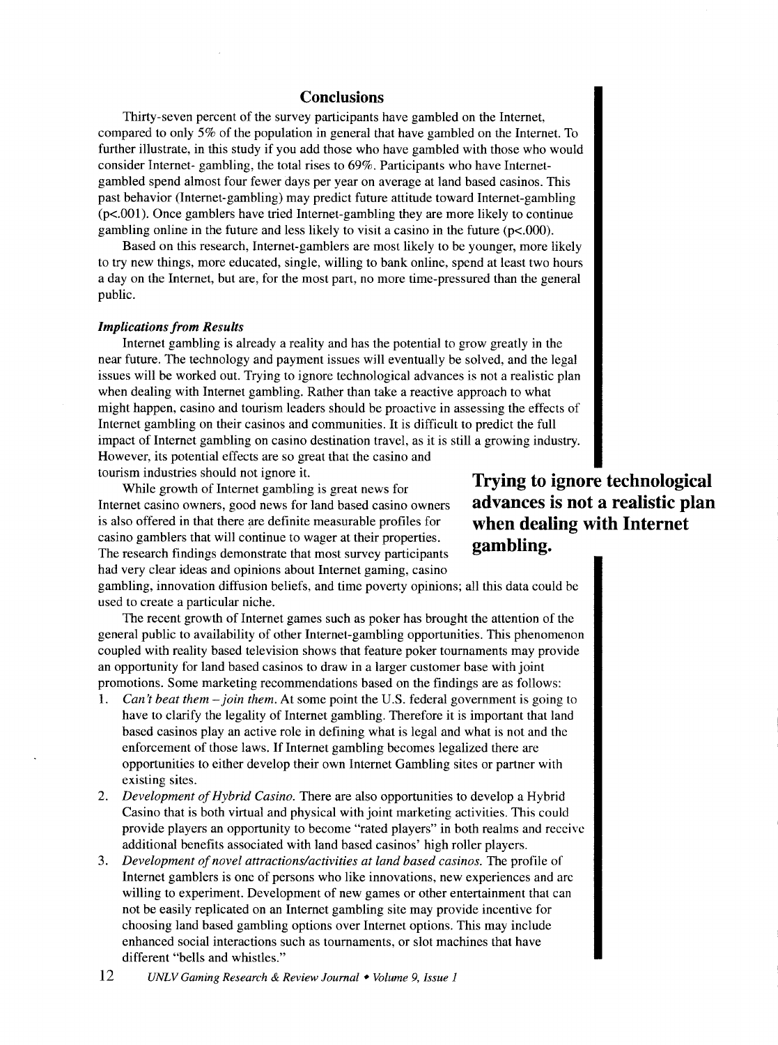# **Conclusions**

Thirty-seven percent of the survey participants have gambled on the Internet, compared to only 5% of the population in general that have gambled on the Internet. To further illustrate, in this study if you add those who have gambled with those who would consider Internet- gambling, the total rises to 69%. Participants who have Internetgambled spend almost four fewer days per year on average at land based casinos. This past behavior (Internet-gambling) may predict future attitude toward Internet-gambling (p<.OOl). Once gamblers have tried Internet-gambling they are more likely to continue gambling online in the future and less likely to visit a casino in the future  $(p<.000)$ .

Based on this research, Internet-gamblers are most likely to be younger, more likely to try new things, more educated, single, willing to bank online, spend at least two hours a day on the Internet, but are, for the most part, no more time-pressured than the general public.

#### *Implications from Results*

Internet gambling is already a reality and has the potential to grow greatly in the near future. The technology and payment issues will eventually be solved, and the legal issues will be worked out. Trying to ignore technological advances is not a realistic plan when dealing with Internet gambling. Rather than take a reactive approach to what might happen, casino and tourism leaders should be proactive in assessing the effects of Internet gambling on their casinos and communities. It is difficult to predict the full impact of Internet gambling on casino destination travel, as it is still a growing industry. However, its potential effects are so great that the casino and tourism industries should not ignore it.

While growth of Internet gambling is great news for Internet casino owners, good news for land based casino owners is also offered in that there are definite measurable profiles for casino gamblers that will continue to wager at their properties. The research findings demonstrate that most survey participants had very clear ideas and opinions about Internet gaming, casino

gambling, innovation diffusion beliefs, and time poverty opinions; all this data could be used to create a particular niche.

The recent growth of Internet games such as poker has brought the attention of the general public to availability of other Internet-gambling opportunities. This phenomenon coupled with reality based television shows that feature poker tournaments may provide an opportunity for land based casinos to draw in a larger customer base with joint promotions. Some marketing recommendations based on the findings are as follows:

- 1. *Can't beat them-join them.* At some point the U.S. federal government is going to have to clarify the legality of Internet gambling. Therefore it is important that land based casinos play an active role in defining what is legal and what is not and the enforcement of those laws. If Internet gambling becomes legalized there are opportunities to either develop their own Internet Gambling sites or partner with existing sites.
- 2. *Development of Hybrid Casino.* There are also opportunities to develop a Hybrid Casino that is both virtual and physical with joint marketing activities. This could provide players an opportunity to become "rated players" in both realms and receive additional benefits associated with land based casinos' high roller players.
- 3. *Development of novel attractions/activities at land based casinos.* The profile of Internet gamblers is one of persons who like innovations, new experiences and arc willing to experiment. Development of new games or other entertainment that can not be easily replicated on an Internet gambling site may provide incentive for choosing land based gambling options over Internet options. This may include enhanced social interactions such as tournaments, or slot machines that have different "bells and whistles."

**gambling.** 

**Trying to ignore technological advances is not a realistic plan when dealing with Internet**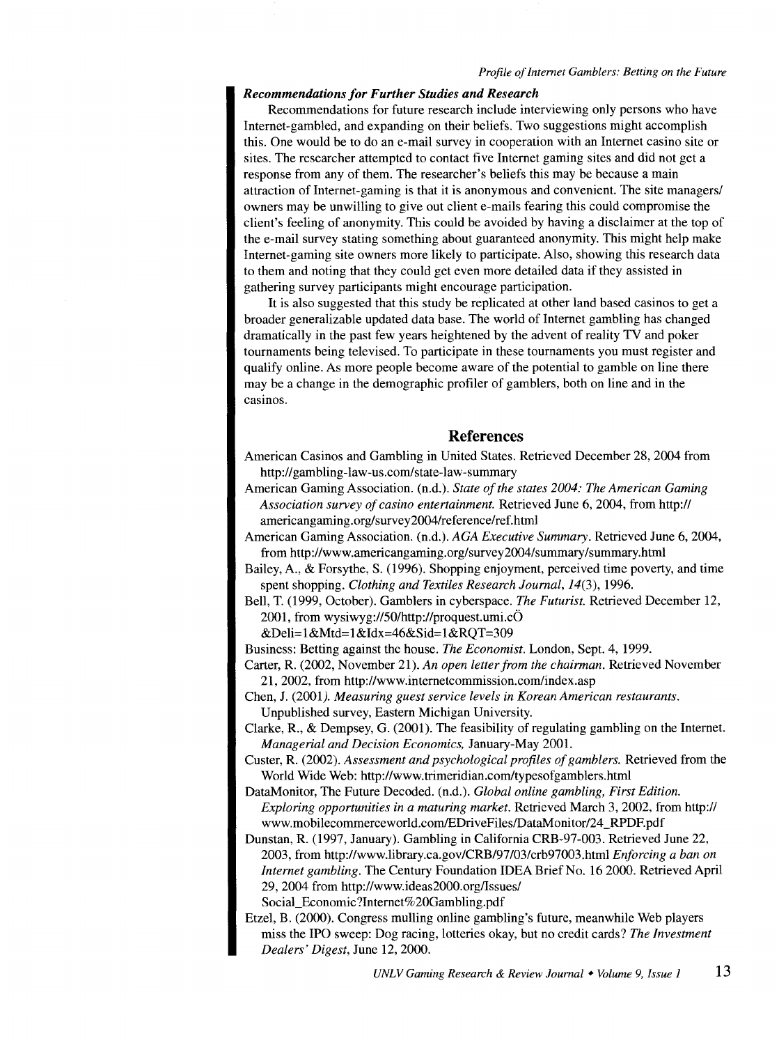#### *Recommendations for Further Studies and Research*

Recommendations for future research include interviewing only persons who have Internet-gambled, and expanding on their beliefs. Two suggestions might accomplish this. One would be to do an e-mail survey in cooperation with an Internet casino site or sites. The researcher attempted to contact five Internet gaming sites and did not get a response from any of them. The researcher's beliefs this may be because a main attraction of Internet-gaming is that it is anonymous and convenient. The site managers/ owners may be unwilling to give out client e-mails fearing this could compromise the client's feeling of anonymity. This could be avoided by having a disclaimer at the top of the e-mail survey stating something about guaranteed anonymity. This might help make Internet-gaming site owners more likely to participate. Also, showing this research data to them and noting that they could get even more detailed data if they assisted in gathering survey participants might encourage participation.

It is also suggested that this study be replicated at other land based casinos to get a broader generalizable updated data base. The world of Internet gambling has changed dramatically in the past few years heightened by the advent of reality TV and poker tournaments being televised. To participate in these tournaments you must register and qualify online. As more people become aware of the potential to gamble on line there may be a change in the demographic profiler of gamblers, both on line and in the casinos.

# **References**

American Casinos and Gambling in United States. Retrieved December 28, 2004 from http://gambling-law-us.com/state-law-summary

American Gaming Association. (n.d.). *State of the states 2004: The American Gaming Association survey of casino entertainment.* Retrieved June 6, 2004, from http:// americangaming.org/survey2004/reference/ref.html

- American Gaming Association. (n.d.). *AGA Executive Summary.* Retrieved June 6, 2004, from http://www.americangaming.org/survey2004/summary/summary.html
- Bailey, A., & Forsythe, S. (1996). Shopping enjoyment, perceived time poverty, and time spent shopping. *Clothing and Textiles Research Journal*, 14(3), 1996.
- Bell, T. (1999, October). Gamblers in cyberspace. *The Futurist.* Retrieved December 12, 2001, from wysiwyg://50/http://proquest.umi.c $\ddot{\text{O}}$

&Deli= 1 &Mtd= 1 &Idx=46&Sid= 1 &RQT=309

Business: Betting against the house. *The Economist.* London, Sept. 4, 1999.

Carter, R. (2002, November 21). *An open letter from the chairman.* Retrieved November 21, 2002, from http://www.internetcommission.com/index.asp

Chen, J. (2001). *Measuring guest service levels in Korean American restaurants.*  Unpublished survey, Eastern Michigan University.

- Clarke, R., & Dempsey, G. (2001). The feasibility of regulating gambling on the Internet. *Managerial and Decision Economics,* January-May 2001.
- Custer, R. (2002). *Assessment and psychological profiles of gamblers.* Retrieved from the World Wide Web: http://www.trimeridian.com/typesofgamblers.html
- DataMonitor, The Future Decoded. (n.d.). *Global online gambling, First Edition. Exploring opportunities in a maturing market.* Retrieved March 3, 2002, from http:// www.mobilecommerceworld.com/EDriveFiles/DataMonitor/24\_RPDF.pdf
- Dunstan, R. (1997, January). Gambling in California CRB-97-003. Retrieved June 22, 2003, from http://www.library.ca.gov/CRB/97/03/crb97003.html *Enforcing a ban on Internet gambling.* The Century Foundation IDEA Brief No. 16 2000. Retrieved April 29, 2004 from http://www.ideas2000.org/lssues/ Social\_Economic?Internet%20Gambling.pdf

Etzel, B. (2000). Congress mulling online gambling's future, meanwhile Web players miss the IPO sweep: Dog racing, lotteries okay, but no credit cards? *The Investment Dealers' Digest,* June 12, 2000.